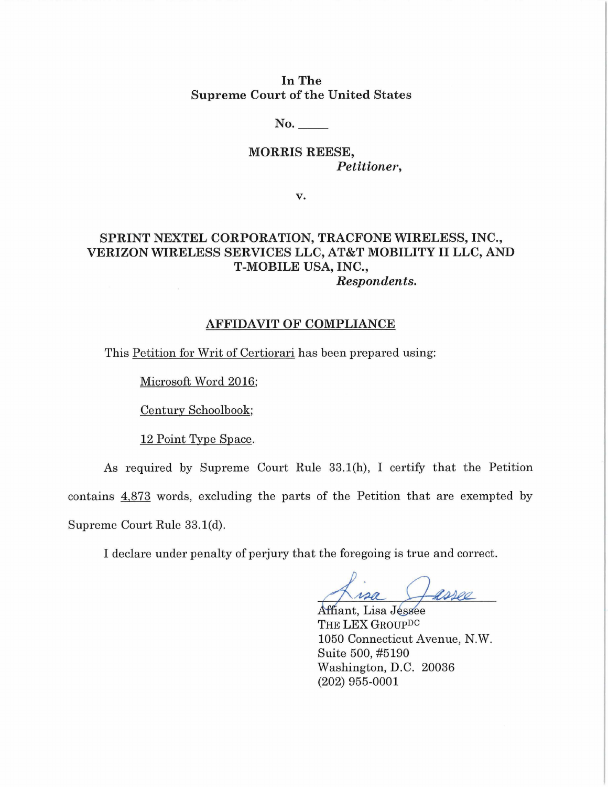In The Supreme Court of the United States

No.

MORRIS REESE, *Petitioner,* 

v.

## SPRINT NEXTEL CORPORATION, TRACFONE WIRELESS, INC., VERIZON WIRELESS SERVICES LLC, AT&T MOBILITY II LLC, AND T-MOBILE USA, INC., *Respondents.*

## AFFIDAVIT OF COMPLIANCE

This Petition for Writ of Certiorari has been prepared using:

Microsoft Word 2016;

Century Schoolbook;

12 Point Type Space.

As required by Supreme Court Rule 33.1(h), I certify that the Petition contains 4,873 words, excluding the parts of the Petition that are exempted by Supreme Court Rule 33.1(d).

I declare under penalty of perjury that the foregoing is true and correct.

ng is true and correct.<br>Assetted a Jessee<br>ROUP<sup>DC</sup>

Affiant, Lisa THE LEX GRoupDC 1050 Connecticut Avenue, N.W. Suite 500, #5190 Washington, D.C. 20036 (202) 955-0001